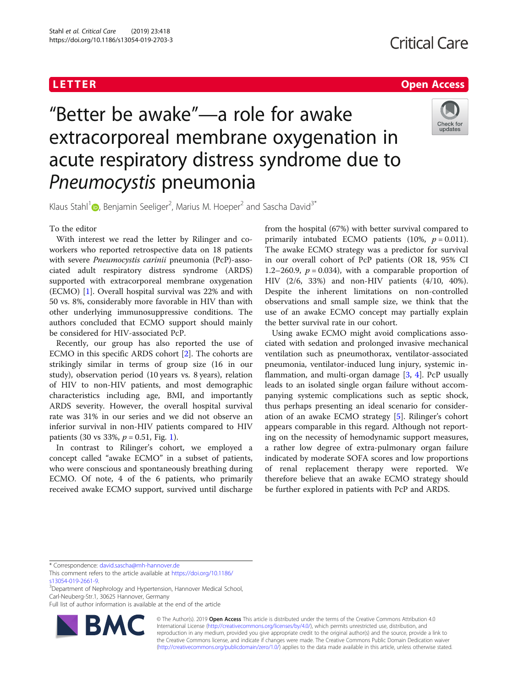# <u>L E T E T ER Open [Access](http://crossmark.crossref.org/dialog/?doi=10.1186/s13054-019-2703-3&domain=pdf) de la Carte de la Carte de la Carte de la Carte de la Carte de la Carte de la Carte d</u><br>L

# "Better be awake"—a role for awake extracorporeal membrane oxygenation in acute respiratory distress syndrome due to Pneumocystis pneumonia



Klaus Stahl<sup>[1](http://orcid.org/0000-0002-4833-6035)</sup> <sub>(D</sub>, Benjamin Seeliger<sup>2</sup>, Marius M. Hoeper<sup>2</sup> and Sascha David<sup>3\*</sup>

## To the editor

With interest we read the letter by Rilinger and coworkers who reported retrospective data on 18 patients with severe Pneumocystis carinii pneumonia (PcP)-associated adult respiratory distress syndrome (ARDS) supported with extracorporeal membrane oxygenation (ECMO) [[1](#page-1-0)]. Overall hospital survival was 22% and with 50 vs. 8%, considerably more favorable in HIV than with other underlying immunosuppressive conditions. The authors concluded that ECMO support should mainly be considered for HIV-associated PcP.

Recently, our group has also reported the use of ECMO in this specific ARDS cohort [[2\]](#page-1-0). The cohorts are strikingly similar in terms of group size (16 in our study), observation period (10 years vs. 8 years), relation of HIV to non-HIV patients, and most demographic characteristics including age, BMI, and importantly ARDS severity. However, the overall hospital survival rate was 31% in our series and we did not observe an inferior survival in non-HIV patients compared to HIV patients (30 vs 33%,  $p = 0.51$ , Fig. [1\)](#page-1-0).

In contrast to Rilinger's cohort, we employed a concept called "awake ECMO" in a subset of patients, who were conscious and spontaneously breathing during ECMO. Of note, 4 of the 6 patients, who primarily received awake ECMO support, survived until discharge

from the hospital (67%) with better survival compared to primarily intubated ECMO patients (10%,  $p = 0.011$ ). The awake ECMO strategy was a predictor for survival in our overall cohort of PcP patients (OR 18, 95% CI 1.2–260.9,  $p = 0.034$ ), with a comparable proportion of HIV (2/6, 33%) and non-HIV patients (4/10, 40%). Despite the inherent limitations on non-controlled observations and small sample size, we think that the use of an awake ECMO concept may partially explain the better survival rate in our cohort.

Using awake ECMO might avoid complications associated with sedation and prolonged invasive mechanical ventilation such as pneumothorax, ventilator-associated pneumonia, ventilator-induced lung injury, systemic inflammation, and multi-organ damage [[3](#page-1-0), [4](#page-1-0)]. PcP usually leads to an isolated single organ failure without accompanying systemic complications such as septic shock, thus perhaps presenting an ideal scenario for consideration of an awake ECMO strategy [[5\]](#page-1-0). Rilinger's cohort appears comparable in this regard. Although not reporting on the necessity of hemodynamic support measures, a rather low degree of extra-pulmonary organ failure indicated by moderate SOFA scores and low proportions of renal replacement therapy were reported. We therefore believe that an awake ECMO strategy should be further explored in patients with PcP and ARDS.

\* Correspondence: [david.sascha@mh-hannover.de](mailto:david.sascha@mh-hannover.de)

<sup>3</sup>Department of Nephrology and Hypertension, Hannover Medical School, Carl-Neuberg-Str.1, 30625 Hannover, Germany

Full list of author information is available at the end of the article



© The Author(s). 2019 **Open Access** This article is distributed under the terms of the Creative Commons Attribution 4.0 International License [\(http://creativecommons.org/licenses/by/4.0/](http://creativecommons.org/licenses/by/4.0/)), which permits unrestricted use, distribution, and reproduction in any medium, provided you give appropriate credit to the original author(s) and the source, provide a link to the Creative Commons license, and indicate if changes were made. The Creative Commons Public Domain Dedication waiver [\(http://creativecommons.org/publicdomain/zero/1.0/](http://creativecommons.org/publicdomain/zero/1.0/)) applies to the data made available in this article, unless otherwise stated.

This comment refers to the article available at [https://doi.org/10.1186/](https://doi.org/10.1186/s13054-019-2661-9) [s13054-019-2661-9.](https://doi.org/10.1186/s13054-019-2661-9)